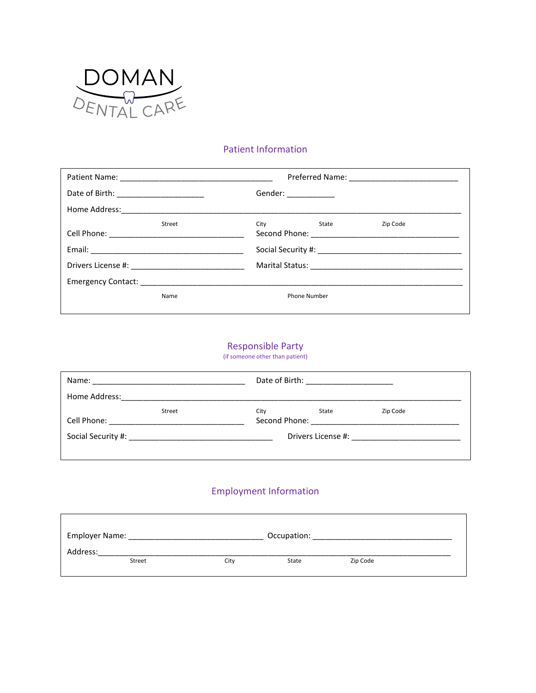

 $\Gamma$ 

#### Patient Information

| Date of Birth: _________________________ |        | Gender: _____________                                                                                                                                                                                                               |       |          |  |  |
|------------------------------------------|--------|-------------------------------------------------------------------------------------------------------------------------------------------------------------------------------------------------------------------------------------|-------|----------|--|--|
|                                          |        |                                                                                                                                                                                                                                     |       |          |  |  |
|                                          | Street | City <b>City</b> and the control of the control of the control of the control of the control of the control of the control of the control of the control of the control of the control of the control of the control of the control | State | Zip Code |  |  |
|                                          |        |                                                                                                                                                                                                                                     |       |          |  |  |
|                                          |        |                                                                                                                                                                                                                                     |       |          |  |  |
|                                          |        |                                                                                                                                                                                                                                     |       |          |  |  |
|                                          | Name   | <b>Phone Number</b>                                                                                                                                                                                                                 |       |          |  |  |

# Responsible Party

(if someone other than patient)

| Name:                                                                                                           |        |      | Date of Birth: ________________________ |          |  |  |  |
|-----------------------------------------------------------------------------------------------------------------|--------|------|-----------------------------------------|----------|--|--|--|
| Home Address: 2008 2009 2010 2021 2022 2023 2024 2022 2022 2023 2024 2022 2023 2024 2022 2023 2024 2022 2023 20 |        |      |                                         |          |  |  |  |
| Cell Phone: _____________________                                                                               | Street | City | State                                   | Zip Code |  |  |  |
|                                                                                                                 |        |      |                                         |          |  |  |  |

### Employment Information

| Employer Name:<br>Occupation: |      |       |          |  |  |  |
|-------------------------------|------|-------|----------|--|--|--|
| Address:                      |      |       |          |  |  |  |
| Street                        | Citv | State | Zip Code |  |  |  |